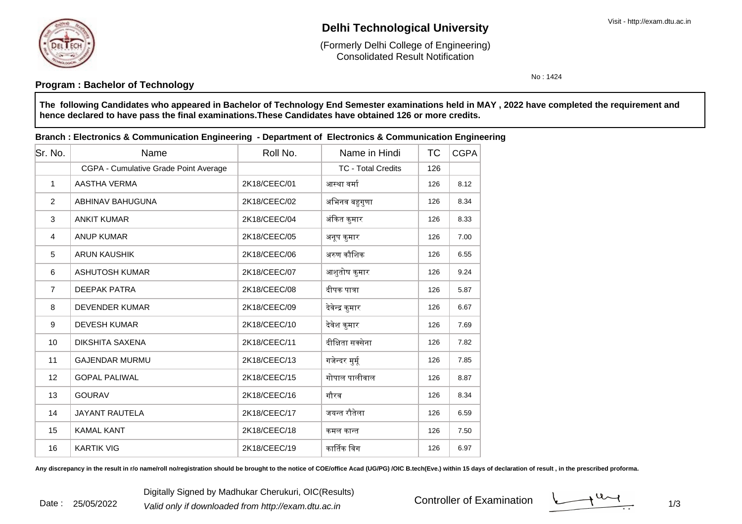

Date : 25/05/2022

# **Delhi Technological University**

Consolidated Result Notification(Formerly Delhi College of Engineering)

No : 1424

### **Program : Bachelor of Technology**

**The following Candidates who appeared in Bachelor of Technology End Semester examinations held in MAY , 2022 have completed the requirement andhence declared to have pass the final examinations.These Candidates have obtained 126 or more credits.**

#### **Branch : Electronics & Communication Engineering - Department of Electronics & Communication Engineering**

| Sr. No.        | Name                                  | Roll No.     | Name in Hindi             | ТC  | <b>CGPA</b> |
|----------------|---------------------------------------|--------------|---------------------------|-----|-------------|
|                | CGPA - Cumulative Grade Point Average |              | <b>TC - Total Credits</b> | 126 |             |
| $\mathbf 1$    | AASTHA VERMA                          | 2K18/CEEC/01 | आस्था वर्मा               | 126 | 8.12        |
| 2              | ABHINAV BAHUGUNA                      | 2K18/CEEC/02 | अभिनव बहुगुणा             | 126 | 8.34        |
| $\mathbf{3}$   | <b>ANKIT KUMAR</b>                    | 2K18/CEEC/04 | अंकित कुमार               | 126 | 8.33        |
| $\overline{4}$ | <b>ANUP KUMAR</b>                     | 2K18/CEEC/05 | अनूप कुमार                | 126 | 7.00        |
| 5              | <b>ARUN KAUSHIK</b>                   | 2K18/CEEC/06 | अरुण कौशिक                | 126 | 6.55        |
| 6              | <b>ASHUTOSH KUMAR</b>                 | 2K18/CEEC/07 | आशुतोष कुमार              | 126 | 9.24        |
| $\overline{7}$ | DEEPAK PATRA                          | 2K18/CEEC/08 | दीपक पात्रा               | 126 | 5.87        |
| 8              | <b>DEVENDER KUMAR</b>                 | 2K18/CEEC/09 | देवेन्द्र कुमार           | 126 | 6.67        |
| 9              | <b>DEVESH KUMAR</b>                   | 2K18/CEEC/10 | देवेश कुमार               | 126 | 7.69        |
| 10             | <b>DIKSHITA SAXENA</b>                | 2K18/CEEC/11 | दीक्षिता सक्सेना          | 126 | 7.82        |
| 11             | <b>GAJENDAR MURMU</b>                 | 2K18/CEEC/13 | गजेन्दर मुर्मू            | 126 | 7.85        |
| 12             | <b>GOPAL PALIWAL</b>                  | 2K18/CEEC/15 | गोपाल पालीवाल             | 126 | 8.87        |
| 13             | <b>GOURAV</b>                         | 2K18/CEEC/16 | गौरव                      | 126 | 8.34        |
| 14             | <b>JAYANT RAUTELA</b>                 | 2K18/CEEC/17 | जयन्त रौतेला              | 126 | 6.59        |
| 15             | <b>KAMAL KANT</b>                     | 2K18/CEEC/18 | कमल कान्त                 | 126 | 7.50        |
| 16             | <b>KARTIK VIG</b>                     | 2K18/CEEC/19 | कार्तिक विग               | 126 | 6.97        |

Any discrepancy in the result in r/o name/roll no/registration should be brought to the notice of COE/office Acad (UG/PG) /OIC B.tech(Eve.) within 15 days of declaration of result, in the prescribed proforma.

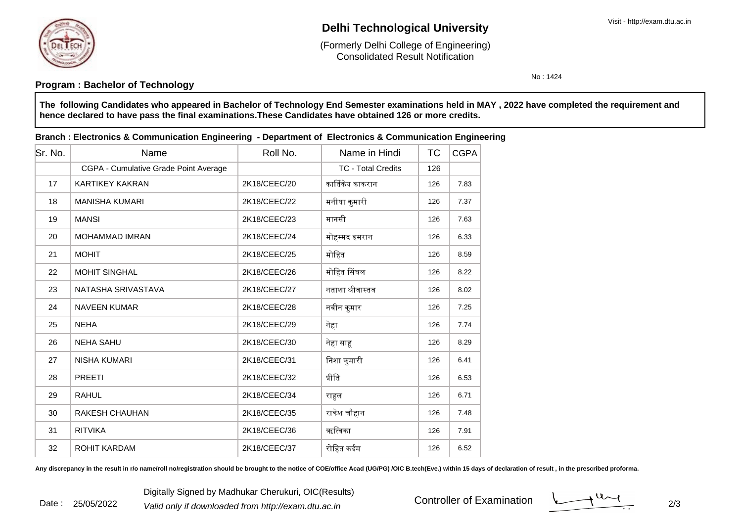

Date : 25/05/2022

# **Delhi Technological University**

Consolidated Result Notification(Formerly Delhi College of Engineering)

No : 1424

### **Program : Bachelor of Technology**

**The following Candidates who appeared in Bachelor of Technology End Semester examinations held in MAY , 2022 have completed the requirement andhence declared to have pass the final examinations.These Candidates have obtained 126 or more credits.**

#### **Branch : Electronics & Communication Engineering - Department of Electronics & Communication Engineering**

| lSr. No. | Name                                  | Roll No.     | Name in Hindi             | ТC  | <b>CGPA</b> |
|----------|---------------------------------------|--------------|---------------------------|-----|-------------|
|          | CGPA - Cumulative Grade Point Average |              | <b>TC - Total Credits</b> | 126 |             |
| 17       | <b>KARTIKEY KAKRAN</b>                | 2K18/CEEC/20 | कार्तिकेय काकरान          | 126 | 7.83        |
| 18       | <b>MANISHA KUMARI</b>                 | 2K18/CEEC/22 | मनीषा कुमारी              | 126 | 7.37        |
| 19       | <b>MANSI</b>                          | 2K18/CEEC/23 | मानसी                     | 126 | 7.63        |
| 20       | <b>MOHAMMAD IMRAN</b>                 | 2K18/CEEC/24 | मोहम्मद इमरान             | 126 | 6.33        |
| 21       | <b>MOHIT</b>                          | 2K18/CEEC/25 | मोहित                     | 126 | 8.59        |
| 22       | <b>MOHIT SINGHAL</b>                  | 2K18/CEEC/26 | मोहित सिंघल               | 126 | 8.22        |
| 23       | NATASHA SRIVASTAVA                    | 2K18/CEEC/27 | नताशा श्रीवास्तव          | 126 | 8.02        |
| 24       | <b>NAVEEN KUMAR</b>                   | 2K18/CEEC/28 | नवीन कुमार                | 126 | 7.25        |
| 25       | <b>NEHA</b>                           | 2K18/CEEC/29 | नेहा                      | 126 | 7.74        |
| 26       | <b>NEHA SAHU</b>                      | 2K18/CEEC/30 | नेहा साहू                 | 126 | 8.29        |
| 27       | <b>NISHA KUMARI</b>                   | 2K18/CEEC/31 | निशा कुमारी               | 126 | 6.41        |
| 28       | <b>PREETI</b>                         | 2K18/CEEC/32 | प्रीति                    | 126 | 6.53        |
| 29       | <b>RAHUL</b>                          | 2K18/CEEC/34 | राहुल                     | 126 | 6.71        |
| 30       | <b>RAKESH CHAUHAN</b>                 | 2K18/CEEC/35 | राकेश चौहान               | 126 | 7.48        |
| 31       | <b>RITVIKA</b>                        | 2K18/CEEC/36 | ऋत्विका                   | 126 | 7.91        |
| 32       | <b>ROHIT KARDAM</b>                   | 2K18/CEEC/37 | रोहित कर्दम               | 126 | 6.52        |

Any discrepancy in the result in r/o name/roll no/registration should be brought to the notice of COE/office Acad (UG/PG) /OIC B.tech(Eve.) within 15 days of declaration of result, in the prescribed proforma.

Controller of Examination

 $\frac{1}{2}$  2/3